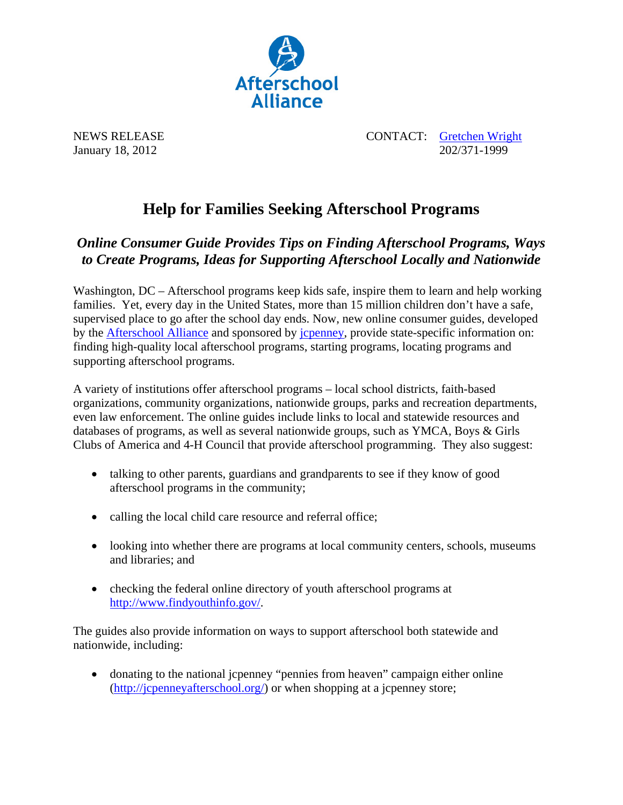

NEWS RELEASE CONTACT: Gretchen Wright January 18, 2012 202/371-1999

## **Help for Families Seeking Afterschool Programs**

## *Online Consumer Guide Provides Tips on Finding Afterschool Programs, Ways to Create Programs, Ideas for Supporting Afterschool Locally and Nationwide*

Washington, DC – Afterschool programs keep kids safe, inspire them to learn and help working families. Yet, every day in the United States, more than 15 million children don't have a safe, supervised place to go after the school day ends. Now, new online consumer guides, developed by the Afterschool Alliance and sponsored by jcpenney, provide state-specific information on: finding high-quality local afterschool programs, starting programs, locating programs and supporting afterschool programs.

A variety of institutions offer afterschool programs – local school districts, faith-based organizations, community organizations, nationwide groups, parks and recreation departments, even law enforcement. The online guides include links to local and statewide resources and databases of programs, as well as several nationwide groups, such as YMCA, Boys & Girls Clubs of America and 4-H Council that provide afterschool programming. They also suggest:

- talking to other parents, guardians and grandparents to see if they know of good afterschool programs in the community;
- calling the local child care resource and referral office;
- looking into whether there are programs at local community centers, schools, museums and libraries; and
- checking the federal online directory of youth afterschool programs at http://www.findyouthinfo.gov/.

The guides also provide information on ways to support afterschool both statewide and nationwide, including:

 donating to the national jcpenney "pennies from heaven" campaign either online (http://jcpenneyafterschool.org/) or when shopping at a jcpenney store;